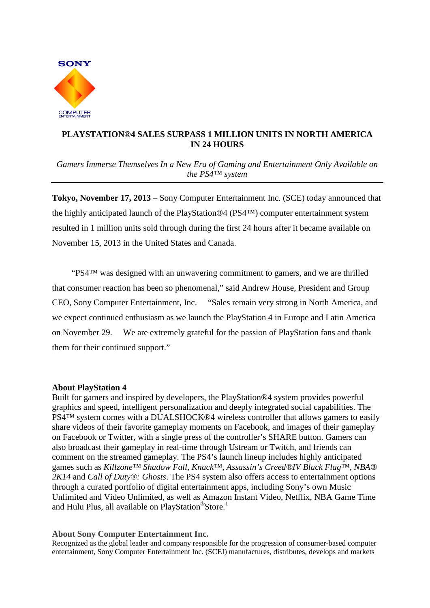

## **PLAYSTATION®4 SALES SURPASS 1 MILLION UNITS IN NORTH AMERICA IN 24 HOURS**

*Gamers Immerse Themselves In a New Era of Gaming and Entertainment Only Available on the PS4™ system*

**Tokyo, November 17, 2013** – Sony Computer Entertainment Inc. (SCE) today announced that the highly anticipated launch of the PlayStation®4 (PS4™) computer entertainment system resulted in 1 million units sold through during the first 24 hours after it became available on November 15, 2013 in the United States and Canada.

 "PS4™ was designed with an unwavering commitment to gamers, and we are thrilled that consumer reaction has been so phenomenal," said Andrew House, President and Group CEO, Sony Computer Entertainment, Inc. "Sales remain very strong in North America, and we expect continued enthusiasm as we launch the PlayStation 4 in Europe and Latin America on November 29. We are extremely grateful for the passion of PlayStation fans and thank them for their continued support."

## **About PlayStation 4**

Built for gamers and inspired by developers, the PlayStation®4 system provides powerful graphics and speed, intelligent personalization and deeply integrated social capabilities. The PS4<sup>™</sup> system comes with a DUALSHOCK<sup>®4</sup> wireless controller that allows gamers to easily share videos of their favorite gameplay moments on Facebook, and images of their gameplay on Facebook or Twitter, with a single press of the controller's SHARE button. Gamers can also broadcast their gameplay in real-time through Ustream or Twitch, and friends can comment on the streamed gameplay. The PS4's launch lineup includes highly anticipated games such as *Killzone™ Shadow Fall, Knack™, Assassin's Creed®IV Black Flag™, NBA® 2K14* and *Call of Duty®: Ghosts*. The PS4 system also offers access to entertainment options through a curated portfolio of digital entertainment apps, including Sony's own Music Unlimited and Video Unlimited, as well as Amazon Instant Video, Netflix, NBA Game Time and Hulu Plus, all available on PlayStation®Store.<sup>1</sup>

## **About Sony Computer Entertainment Inc.**

Recognized as the global leader and company responsible for the progression of consumer-based computer entertainment, Sony Computer Entertainment Inc. (SCEI) manufactures, distributes, develops and markets